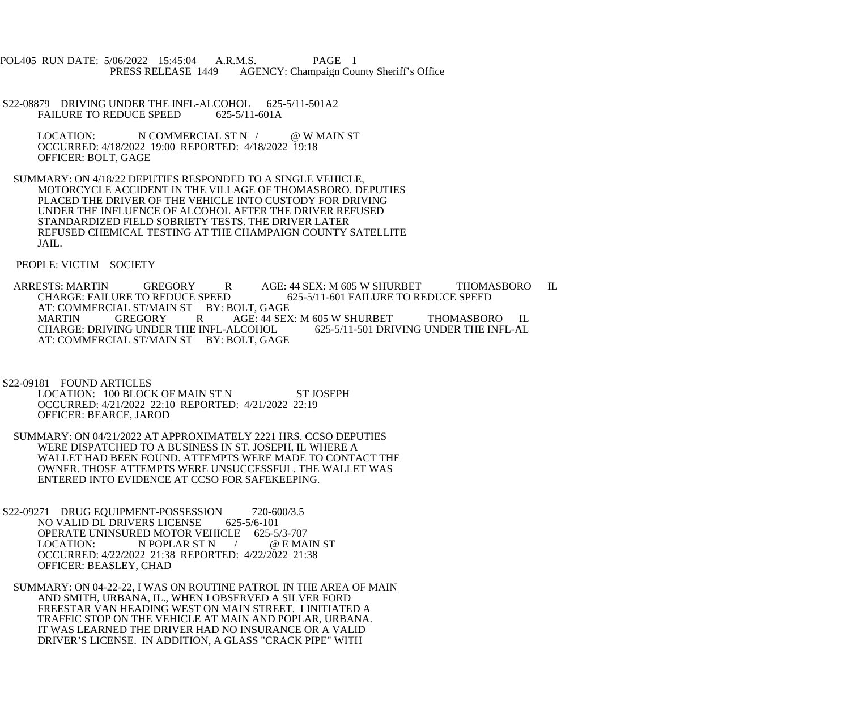POL405 RUN DATE: 5/06/2022 15:45:04 A.R.M.S. PAGE 1<br>PRESS RELEASE 1449 AGENCY: Champaign Cou AGENCY: Champaign County Sheriff's Office

- S22-08879 DRIVING UNDER THE INFL-ALCOHOL 625-5/11-501A2<br>FAILURE TO REDUCE SPEED 625-5/11-601A FAILURE TO REDUCE SPEED
	- LOCATION: N COMMERCIAL ST N / @ W MAIN ST OCCURRED: 4/18/2022 19:00 REPORTED: 4/18/2022 19:18 OFFICER: BOLT, GAGE
- SUMMARY: ON 4/18/22 DEPUTIES RESPONDED TO A SINGLE VEHICLE, MOTORCYCLE ACCIDENT IN THE VILLAGE OF THOMASBORO. DEPUTIES PLACED THE DRIVER OF THE VEHICLE INTO CUSTODY FOR DRIVING UNDER THE INFLUENCE OF ALCOHOL AFTER THE DRIVER REFUSED STANDARDIZED FIELD SOBRIETY TESTS. THE DRIVER LATER REFUSED CHEMICAL TESTING AT THE CHAMPAIGN COUNTY SATELLITE JAIL.

PEOPLE: VICTIM SOCIETY

ARRESTS: MARTIN GREGORY R AGE: 44 SEX: M 605 W SHURBET THOMASBORO IL<br>CHARGE: FAILURE TO REDUCE SPEED 625-5/11-601 FAILURE TO REDUCE SPEED CHARGE: FAILURE TO REDUCE SPEED 625-5/11-601 FAILURE TO REDUCE SPEED AT: COMMERCIAL ST/MAIN ST BY: BOLT, GAGE<br>MARTIN GREGORY R AGE: 44 SEX MARTIN GREGORY R AGE: 44 SEX: M 605 W SHURBET THOMASBORO IL CHARGE: DRIVING UNDER THE INFL-AL CHARGE: DRIVING UNDER THE INFL-ALCOHOL AT: COMMERCIAL ST/MAIN ST BY: BOLT, GAGE

- S22-09181 FOUND ARTICLES LOCATION: 100 BLOCK OF MAIN ST N ST JOSEPH OCCURRED: 4/21/2022 22:10 REPORTED: 4/21/2022 22:19 OFFICER: BEARCE, JAROD
- SUMMARY: ON 04/21/2022 AT APPROXIMATELY 2221 HRS. CCSO DEPUTIES WERE DISPATCHED TO A BUSINESS IN ST. JOSEPH, IL WHERE A WALLET HAD BEEN FOUND. ATTEMPTS WERE MADE TO CONTACT THE OWNER. THOSE ATTEMPTS WERE UNSUCCESSFUL. THE WALLET WAS ENTERED INTO EVIDENCE AT CCSO FOR SAFEKEEPING.
- S22-09271 DRUG EQUIPMENT-POSSESSION 720-600/3.5 NO VALID DL DRIVERS LICENSE 625-5/6-101 OPERATE UNINSURED MOTOR VEHICLE 625-5/3-707<br>LOCATION: N POPLAR ST N / @ E MA N POPLAR ST N / @ E MAIN ST OCCURRED: 4/22/2022 21:38 REPORTED: 4/22/2022 21:38 OFFICER: BEASLEY, CHAD
- SUMMARY: ON 04-22-22, I WAS ON ROUTINE PATROL IN THE AREA OF MAIN AND SMITH, URBANA, IL., WHEN I OBSERVED A SILVER FORD FREESTAR VAN HEADING WEST ON MAIN STREET. I INITIATED A TRAFFIC STOP ON THE VEHICLE AT MAIN AND POPLAR, URBANA. IT WAS LEARNED THE DRIVER HAD NO INSURANCE OR A VALID DRIVER'S LICENSE. IN ADDITION, A GLASS "CRACK PIPE" WITH